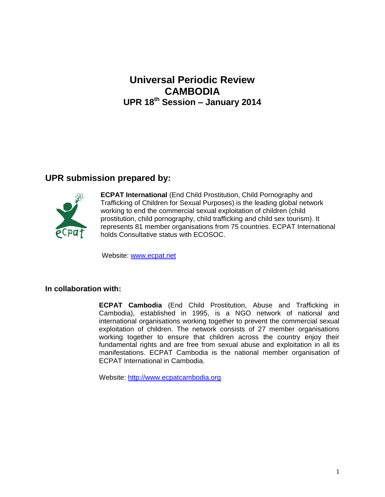# **Universal Periodic Review CAMBODIA UPR 18th Session – January 2014**

## **UPR submission prepared by:**



**ECPAT International** (End Child Prostitution, Child Pornography and Trafficking of Children for Sexual Purposes) is the leading global network working to end the commercial sexual exploitation of children (child prostitution, child pornography, child trafficking and child sex tourism). It represents 81 member organisations from 75 countries. ECPAT International holds Consultative status with ECOSOC.

Website: [www.ecpat.net](http://www.ecpat.net/)

#### **In collaboration with:**

**ECPAT Cambodia** (End Child Prostitution, Abuse and Trafficking in Cambodia), established in 1995, is a NGO network of national and international organisations working together to prevent the commercial sexual exploitation of children. The network consists of 27 member organisations working together to ensure that children across the country enjoy their fundamental rights and are free from sexual abuse and exploitation in all its manifestations. ECPAT Cambodia is the national member organisation of ECPAT International in Cambodia.

Website: [http://www.ecpatcambodia.org](http://www.ecpatcambodia.org/)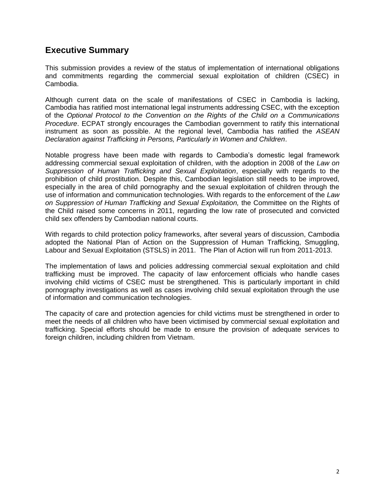## **Executive Summary**

This submission provides a review of the status of implementation of international obligations and commitments regarding the commercial sexual exploitation of children (CSEC) in Cambodia.

Although current data on the scale of manifestations of CSEC in Cambodia is lacking, Cambodia has ratified most international legal instruments addressing CSEC, with the exception of the *Optional Protocol to the Convention on the Rights of the Child on a Communications Procedure*. ECPAT strongly encourages the Cambodian government to ratify this international instrument as soon as possible. At the regional level, Cambodia has ratified the *ASEAN Declaration against Trafficking in Persons, Particularly in Women and Children*.

Notable progress have been made with regards to Cambodia's domestic legal framework addressing commercial sexual exploitation of children, with the adoption in 2008 of the *Law on Suppression of Human Trafficking and Sexual Exploitation*, especially with regards to the prohibition of child prostitution. Despite this, Cambodian legislation still needs to be improved, especially in the area of child pornography and the sexual exploitation of children through the use of information and communication technologies. With regards to the enforcement of the *Law on Suppression of Human Trafficking and Sexual Exploitation,* the Committee on the Rights of the Child raised some concerns in 2011, regarding the low rate of prosecuted and convicted child sex offenders by Cambodian national courts.

With regards to child protection policy frameworks, after several years of discussion, Cambodia adopted the National Plan of Action on the Suppression of Human Trafficking, Smuggling, Labour and Sexual Exploitation (STSLS) in 2011. The Plan of Action will run from 2011-2013.

The implementation of laws and policies addressing commercial sexual exploitation and child trafficking must be improved. The capacity of law enforcement officials who handle cases involving child victims of CSEC must be strengthened. This is particularly important in child pornography investigations as well as cases involving child sexual exploitation through the use of information and communication technologies.

The capacity of care and protection agencies for child victims must be strengthened in order to meet the needs of all children who have been victimised by commercial sexual exploitation and trafficking. Special efforts should be made to ensure the provision of adequate services to foreign children, including children from Vietnam.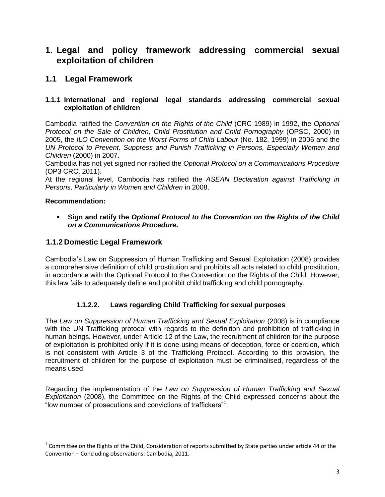## **1. Legal and policy framework addressing commercial sexual exploitation of children**

## **1.1 Legal Framework**

#### **1.1.1 International and regional legal standards addressing commercial sexual exploitation of children**

Cambodia ratified the *Convention on the Rights of the Child* (CRC 1989) in 1992, the *Optional Protocol on the Sale of Children, Child Prostitution and Child Pornography* (OPSC, 2000) in 2005, the *ILO Convention on the Worst Forms of Child Labour* (No. 182, 1999) in 2006 and the *UN Protocol to Prevent, Suppress and Punish Trafficking in Persons, Especially Women and Children* (2000) in 2007.

Cambodia has not yet signed nor ratified the *Optional Protocol on a Communications Procedure*  (OP3 CRC, 2011).

At the regional level, Cambodia has ratified the *ASEAN Declaration against Trafficking in Persons, Particularly in Women and Children* in 2008.

#### **Recommendation:**

l

 **Sign and ratify the** *Optional Protocol to the Convention on the Rights of the Child on a Communications Procedure***.**

## **1.1.2 Domestic Legal Framework**

Cambodia's Law on Suppression of Human Trafficking and Sexual Exploitation (2008) provides a comprehensive definition of child prostitution and prohibits all acts related to child prostitution, in accordance with the Optional Protocol to the Convention on the Rights of the Child. However, this law fails to adequately define and prohibit child trafficking and child pornography.

### **1.1.2.2. Laws regarding Child Trafficking for sexual purposes**

The *Law on Suppression of Human Trafficking and Sexual Exploitation* (2008) is in compliance with the UN Trafficking protocol with regards to the definition and prohibition of trafficking in human beings. However, under Article 12 of the Law, the recruitment of children for the purpose of exploitation is prohibited only if it is done using means of deception, force or coercion, which is not consistent with Article 3 of the Trafficking Protocol. According to this provision, the recruitment of children for the purpose of exploitation must be criminalised, regardless of the means used.

Regarding the implementation of the *Law on Suppression of Human Trafficking and Sexual Exploitation* (2008), the Committee on the Rights of the Child expressed concerns about the "low number of prosecutions and convictions of traffickers"<sup>1</sup> .

 $^1$  Committee on the Rights of the Child, Consideration of reports submitted by State parties under article 44 of the Convention – Concluding observations: Cambodia, 2011.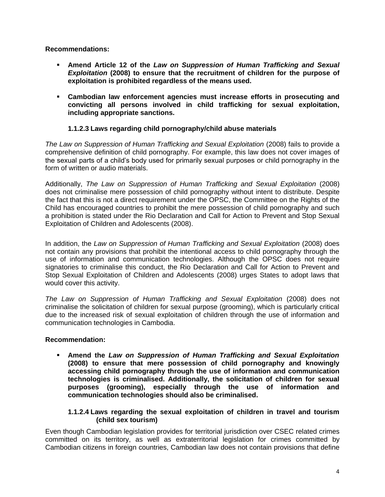**Recommendations:** 

- **Amend Article 12 of the** *Law on Suppression of Human Trafficking and Sexual Exploitation* **(2008) to ensure that the recruitment of children for the purpose of exploitation is prohibited regardless of the means used.**
- **Cambodian law enforcement agencies must increase efforts in prosecuting and convicting all persons involved in child trafficking for sexual exploitation, including appropriate sanctions.**

### **1.1.2.3 Laws regarding child pornography/child abuse materials**

*The Law on Suppression of Human Trafficking and Sexual Exploitation* (2008) fails to provide a comprehensive definition of child pornography. For example, this law does not cover images of the sexual parts of a child's body used for primarily sexual purposes or child pornography in the form of written or audio materials.

Additionally, *The Law on Suppression of Human Trafficking and Sexual Exploitation* (2008) does not criminalise mere possession of child pornography without intent to distribute. Despite the fact that this is not a direct requirement under the OPSC, the Committee on the Rights of the Child has encouraged countries to prohibit the mere possession of child pornography and such a prohibition is stated under the Rio Declaration and Call for Action to Prevent and Stop Sexual Exploitation of Children and Adolescents (2008).

In addition, the *Law on Suppression of Human Trafficking and Sexual Exploitation* (2008) does not contain any provisions that prohibit the intentional access to child pornography through the use of information and communication technologies. Although the OPSC does not require signatories to criminalise this conduct, the Rio Declaration and Call for Action to Prevent and Stop Sexual Exploitation of Children and Adolescents (2008) urges States to adopt laws that would cover this activity.

*The Law on Suppression of Human Trafficking and Sexual Exploitation* (2008) does not criminalise the solicitation of children for sexual purpose (grooming), which is particularly critical due to the increased risk of sexual exploitation of children through the use of information and communication technologies in Cambodia.

### **Recommendation:**

 **Amend the** *Law on Suppression of Human Trafficking and Sexual Exploitation* **(2008) to ensure that mere possession of child pornography and knowingly accessing child pornography through the use of information and communication technologies is criminalised. Additionally, the solicitation of children for sexual purposes (grooming), especially through the use of information and communication technologies should also be criminalised.**

#### **1.1.2.4 Laws regarding the sexual exploitation of children in travel and tourism (child sex tourism)**

Even though Cambodian legislation provides for territorial jurisdiction over CSEC related crimes committed on its territory, as well as extraterritorial legislation for crimes committed by Cambodian citizens in foreign countries, Cambodian law does not contain provisions that define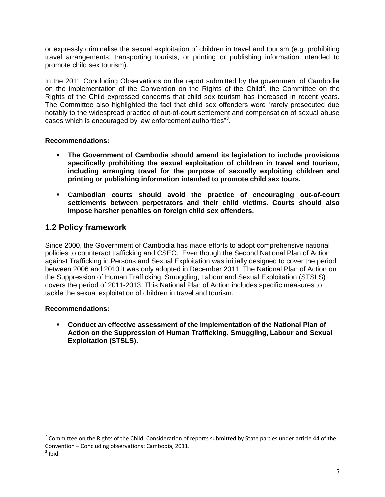or expressly criminalise the sexual exploitation of children in travel and tourism (e.g. prohibiting travel arrangements, transporting tourists, or printing or publishing information intended to promote child sex tourism).

In the 2011 Concluding Observations on the report submitted by the government of Cambodia on the implementation of the Convention on the Rights of the Child<sup>2</sup>, the Committee on the Rights of the Child expressed concerns that child sex tourism has increased in recent years. The Committee also highlighted the fact that child sex offenders were "rarely prosecuted due notably to the widespread practice of out-of-court settlement and compensation of sexual abuse cases which is encouraged by law enforcement authorities"<sup>3</sup>.

### **Recommendations:**

- **The Government of Cambodia should amend its legislation to include provisions specifically prohibiting the sexual exploitation of children in travel and tourism, including arranging travel for the purpose of sexually exploiting children and printing or publishing information intended to promote child sex tours.**
- **Cambodian courts should avoid the practice of encouraging out-of-court settlements between perpetrators and their child victims. Courts should also impose harsher penalties on foreign child sex offenders.**

## **1.2 Policy framework**

Since 2000, the Government of Cambodia has made efforts to adopt comprehensive national policies to counteract trafficking and CSEC. Even though the Second National Plan of Action against Trafficking in Persons and Sexual Exploitation was initially designed to cover the period between 2006 and 2010 it was only adopted in December 2011. The National Plan of Action on the Suppression of Human Trafficking, Smuggling, Labour and Sexual Exploitation (STSLS) covers the period of 2011-2013. This National Plan of Action includes specific measures to tackle the sexual exploitation of children in travel and tourism.

#### **Recommendations:**

 **Conduct an effective assessment of the implementation of the National Plan of Action on the Suppression of Human Trafficking, Smuggling, Labour and Sexual Exploitation (STSLS).**

 $\overline{\phantom{a}}$ 

 $2$  Committee on the Rights of the Child, Consideration of reports submitted by State parties under article 44 of the Convention – Concluding observations: Cambodia, 2011.

 $3$  Ibid.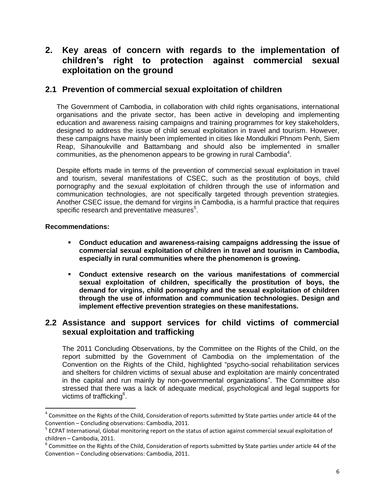## **2. Key areas of concern with regards to the implementation of children's right to protection against commercial sexual exploitation on the ground**

## **2.1 Prevention of commercial sexual exploitation of children**

The Government of Cambodia, in collaboration with child rights organisations, international organisations and the private sector, has been active in developing and implementing education and awareness raising campaigns and training programmes for key stakeholders, designed to address the issue of child sexual exploitation in travel and tourism. However, these campaigns have mainly been implemented in cities like Mondulkiri Phnom Penh, Siem Reap, Sihanoukville and Battambang and should also be implemented in smaller communities, as the phenomenon appears to be growing in rural Cambodia<sup>4</sup>.

Despite efforts made in terms of the prevention of commercial sexual exploitation in travel and tourism, several manifestations of CSEC, such as the prostitution of boys, child pornography and the sexual exploitation of children through the use of information and communication technologies, are not specifically targeted through prevention strategies. Another CSEC issue, the demand for virgins in Cambodia, is a harmful practice that requires specific research and preventative measures $5$ .

#### **Recommendations:**

l

- **Conduct education and awareness-raising campaigns addressing the issue of commercial sexual exploitation of children in travel and tourism in Cambodia, especially in rural communities where the phenomenon is growing.**
- **Conduct extensive research on the various manifestations of commercial sexual exploitation of children, specifically the prostitution of boys, the demand for virgins, child pornography and the sexual exploitation of children through the use of information and communication technologies. Design and implement effective prevention strategies on these manifestations.**

## **2.2 Assistance and support services for child victims of commercial sexual exploitation and trafficking**

The 2011 Concluding Observations, by the Committee on the Rights of the Child, on the report submitted by the Government of Cambodia on the implementation of the Convention on the Rights of the Child, highlighted "psycho-social rehabilitation services and shelters for children victims of sexual abuse and exploitation are mainly concentrated in the capital and run mainly by non-governmental organizations". The Committee also stressed that there was a lack of adequate medical, psychological and legal supports for victims of trafficking<sup>6</sup>.

 $^4$  Committee on the Rights of the Child, Consideration of reports submitted by State parties under article 44 of the Convention – Concluding observations: Cambodia, 2011.

<sup>&</sup>lt;sup>5</sup> ECPAT International, Global monitoring report on the status of action against commercial sexual exploitation of children – Cambodia, 2011.

 $^6$  Committee on the Rights of the Child, Consideration of reports submitted by State parties under article 44 of the Convention – Concluding observations: Cambodia, 2011.